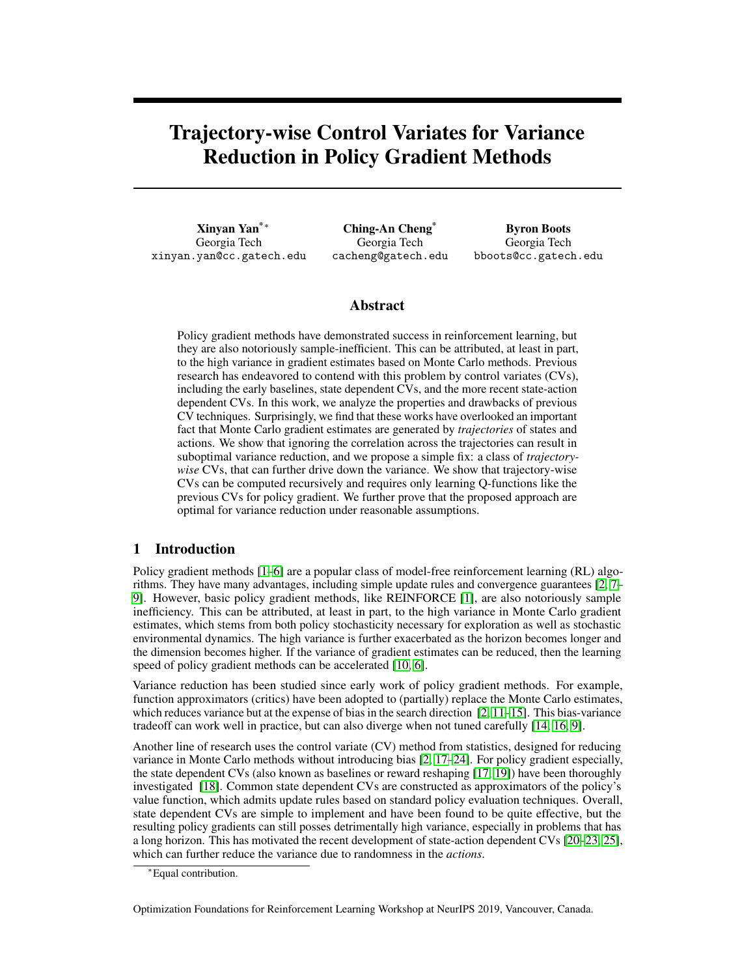# Trajectory-wise Control Variates for Variance Reduction in Policy Gradient Methods

Xinyan Yan\*<sup>∗</sup> Georgia Tech xinyan.yan@cc.gatech.edu

Ching-An Cheng\* Georgia Tech cacheng@gatech.edu

Byron Boots Georgia Tech bboots@cc.gatech.edu

# Abstract

Policy gradient methods have demonstrated success in reinforcement learning, but they are also notoriously sample-inefficient. This can be attributed, at least in part, to the high variance in gradient estimates based on Monte Carlo methods. Previous research has endeavored to contend with this problem by control variates (CVs), including the early baselines, state dependent CVs, and the more recent state-action dependent CVs. In this work, we analyze the properties and drawbacks of previous CV techniques. Surprisingly, we find that these works have overlooked an important fact that Monte Carlo gradient estimates are generated by *trajectories* of states and actions. We show that ignoring the correlation across the trajectories can result in suboptimal variance reduction, and we propose a simple fix: a class of *trajectorywise* CVs, that can further drive down the variance. We show that trajectory-wise CVs can be computed recursively and requires only learning Q-functions like the previous CVs for policy gradient. We further prove that the proposed approach are optimal for variance reduction under reasonable assumptions.

# 1 Introduction

Policy gradient methods [\[1–](#page-6-0)[6\]](#page-6-1) are a popular class of model-free reinforcement learning (RL) algorithms. They have many advantages, including simple update rules and convergence guarantees [\[2,](#page-6-2) [7–](#page-6-3) [9\]](#page-6-4). However, basic policy gradient methods, like REINFORCE [\[1\]](#page-6-0), are also notoriously sample inefficiency. This can be attributed, at least in part, to the high variance in Monte Carlo gradient estimates, which stems from both policy stochasticity necessary for exploration as well as stochastic environmental dynamics. The high variance is further exacerbated as the horizon becomes longer and the dimension becomes higher. If the variance of gradient estimates can be reduced, then the learning speed of policy gradient methods can be accelerated [\[10,](#page-6-5) [6\]](#page-6-1).

Variance reduction has been studied since early work of policy gradient methods. For example, function approximators (critics) have been adopted to (partially) replace the Monte Carlo estimates, which reduces variance but at the expense of bias in the search direction  $\lceil 2, 11-15 \rceil$  $\lceil 2, 11-15 \rceil$  $\lceil 2, 11-15 \rceil$ . This bias-variance tradeoff can work well in practice, but can also diverge when not tuned carefully [\[14,](#page-6-8) [16,](#page-6-9) [9\]](#page-6-4).

Another line of research uses the control variate (CV) method from statistics, designed for reducing variance in Monte Carlo methods without introducing bias [\[2,](#page-6-2) [17](#page-6-10)[–24\]](#page-7-0). For policy gradient especially, the state dependent CVs (also known as baselines or reward reshaping [\[17,](#page-6-10) [19\]](#page-7-1)) have been thoroughly investigated [\[18\]](#page-6-11). Common state dependent CVs are constructed as approximators of the policy's value function, which admits update rules based on standard policy evaluation techniques. Overall, state dependent CVs are simple to implement and have been found to be quite effective, but the resulting policy gradients can still posses detrimentally high variance, especially in problems that has a long horizon. This has motivated the recent development of state-action dependent CVs [\[20](#page-7-2)[–23,](#page-7-3) [25\]](#page-7-4), which can further reduce the variance due to randomness in the *actions*.

Optimization Foundations for Reinforcement Learning Workshop at NeurIPS 2019, Vancouver, Canada.

<sup>∗</sup>Equal contribution.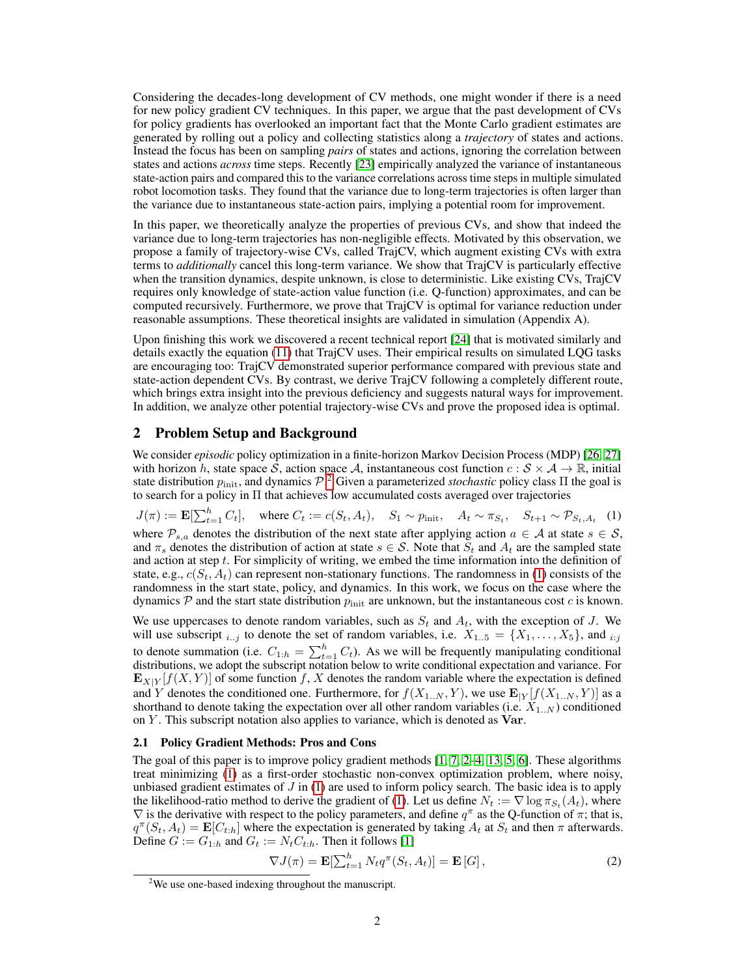Considering the decades-long development of CV methods, one might wonder if there is a need for new policy gradient CV techniques. In this paper, we argue that the past development of CVs for policy gradients has overlooked an important fact that the Monte Carlo gradient estimates are generated by rolling out a policy and collecting statistics along a *trajectory* of states and actions. Instead the focus has been on sampling *pairs* of states and actions, ignoring the correlation between states and actions *across* time steps. Recently [\[23\]](#page-7-3) empirically analyzed the variance of instantaneous state-action pairs and compared this to the variance correlations across time steps in multiple simulated robot locomotion tasks. They found that the variance due to long-term trajectories is often larger than the variance due to instantaneous state-action pairs, implying a potential room for improvement.

In this paper, we theoretically analyze the properties of previous CVs, and show that indeed the variance due to long-term trajectories has non-negligible effects. Motivated by this observation, we propose a family of trajectory-wise CVs, called TrajCV, which augment existing CVs with extra terms to *additionally* cancel this long-term variance. We show that TrajCV is particularly effective when the transition dynamics, despite unknown, is close to deterministic. Like existing CVs, TrajCV requires only knowledge of state-action value function (i.e. Q-function) approximates, and can be computed recursively. Furthermore, we prove that TrajCV is optimal for variance reduction under reasonable assumptions. These theoretical insights are validated in simulation (Appendix A).

Upon finishing this work we discovered a recent technical report [\[24\]](#page-7-0) that is motivated similarly and details exactly the equation [\(11\)](#page-5-0) that TrajCV uses. Their empirical results on simulated LQG tasks are encouraging too: TrajCV demonstrated superior performance compared with previous state and state-action dependent CVs. By contrast, we derive TrajCV following a completely different route, which brings extra insight into the previous deficiency and suggests natural ways for improvement. In addition, we analyze other potential trajectory-wise CVs and prove the proposed idea is optimal.

## 2 Problem Setup and Background

We consider *episodic* policy optimization in a finite-horizon Markov Decision Process (MDP) [\[26,](#page-7-5) [27\]](#page-7-6) with horizon h, state space S, action space A, instantaneous cost function  $c : S \times A \to \mathbb{R}$ , initial state distribution  $p_{\text{init}}$ , and dynamics  $\mathcal{P}^2$  $\mathcal{P}^2$  Given a parameterized *stochastic* policy class  $\Pi$  the goal is to search for a policy in Π that achieves low accumulated costs averaged over trajectories

<span id="page-1-1"></span> $J(\pi) := \mathbf{E}[\sum_{t=1}^{h} C_t], \text{ where } C_t := c(S_t, A_t), S_1 \sim p_{\text{init}}, A_t \sim \pi_{S_t}, S_{t+1} \sim \mathcal{P}_{S_t, A_t}$  (1) where  $\mathcal{P}_{s,a}$  denotes the distribution of the next state after applying action  $a \in \mathcal{A}$  at state  $s \in \mathcal{S}$ , and  $\pi_s$  denotes the distribution of action at state  $s \in S$ . Note that  $S_t$  and  $A_t$  are the sampled state and action at step  $t$ . For simplicity of writing, we embed the time information into the definition of state, e.g.,  $c(S_t, A_t)$  can represent non-stationary functions. The randomness in [\(1\)](#page-1-1) consists of the randomness in the start state, policy, and dynamics. In this work, we focus on the case where the dynamics  $P$  and the start state distribution  $p_{init}$  are unknown, but the instantaneous cost c is known.

We use uppercases to denote random variables, such as  $S_t$  and  $A_t$ , with the exception of J. We will use subscript  $_{i..j}$  to denote the set of random variables, i.e.  $X_{1..5} = \{X_1, \ldots, X_5\}$ , and  $_{i:j}$ to denote summation (i.e.  $C_{1:h} = \sum_{t=1}^{h} C_t$ ). As we will be frequently manipulating conditional distributions, we adopt the subscript notation below to write conditional expectation and variance. For  $\mathbf{E}_{X|Y}[f(X, Y)]$  of some function f, X denotes the random variable where the expectation is defined and Y denotes the conditioned one. Furthermore, for  $f(X_{1..N}, Y)$ , we use  $\mathbf{E}_{|Y}[f(X_{1..N}, Y)]$  as a shorthand to denote taking the expectation over all other random variables (i.e.  $X_{1..N}$ ) conditioned on  $Y$ . This subscript notation also applies to variance, which is denoted as  $Var$ .

## 2.1 Policy Gradient Methods: Pros and Cons

The goal of this paper is to improve policy gradient methods [\[1,](#page-6-0) [7,](#page-6-3) [2–](#page-6-2)[4,](#page-6-12) [13,](#page-6-13) [5,](#page-6-14) [6\]](#page-6-1). These algorithms treat minimizing [\(1\)](#page-1-1) as a first-order stochastic non-convex optimization problem, where noisy, unbiased gradient estimates of  $J$  in [\(1\)](#page-1-1) are used to inform policy search. The basic idea is to apply the likelihood-ratio method to derive the gradient of [\(1\)](#page-1-1). Let us define  $N_t := \nabla \log \pi_{S_t}(A_t)$ , where  $\nabla$  is the derivative with respect to the policy parameters, and define  $q^{\pi}$  as the Q-function of  $\pi$ ; that is,  $q^{\pi}(S_t, A_t) = \mathbf{E}[C_{t:h}]$  where the expectation is generated by taking  $A_t$  at  $S_t$  and then  $\pi$  afterwards. Define  $G := G_{1:h}$  and  $G_t := N_t C_{t:h}$ . Then it follows [\[1\]](#page-6-0)

<span id="page-1-2"></span>
$$
\nabla J(\pi) = \mathbf{E}[\sum_{t=1}^{h} N_t q^{\pi}(S_t, A_t)] = \mathbf{E}[G],
$$
\n(2)

<span id="page-1-0"></span><sup>2</sup>We use one-based indexing throughout the manuscript.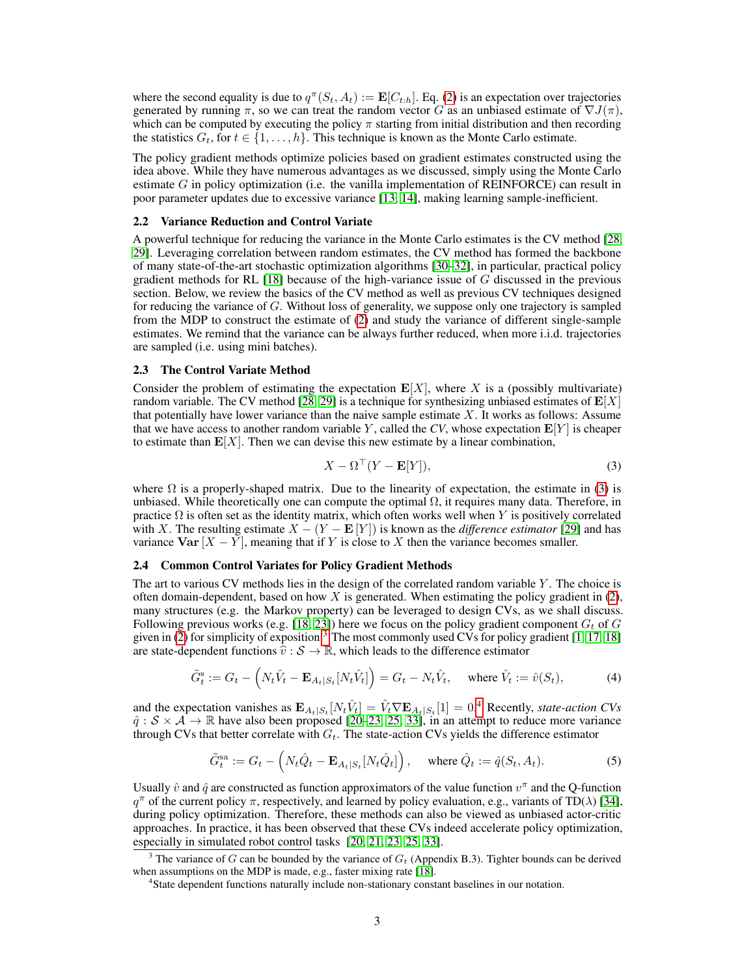where the second equality is due to  $q^{\pi}(S_t, A_t) := \mathbf{E}[C_{t:h}]$ . Eq. [\(2\)](#page-1-2) is an expectation over trajectories generated by running  $\pi$ , so we can treat the random vector G as an unbiased estimate of  $\nabla J(\pi)$ , which can be computed by executing the policy  $\pi$  starting from initial distribution and then recording the statistics  $G_t$ , for  $t \in \{1, \ldots, h\}$ . This technique is known as the Monte Carlo estimate.

The policy gradient methods optimize policies based on gradient estimates constructed using the idea above. While they have numerous advantages as we discussed, simply using the Monte Carlo estimate  $G$  in policy optimization (i.e. the vanilla implementation of REINFORCE) can result in poor parameter updates due to excessive variance [\[13,](#page-6-13) [14\]](#page-6-8), making learning sample-inefficient.

### 2.2 Variance Reduction and Control Variate

A powerful technique for reducing the variance in the Monte Carlo estimates is the CV method [\[28,](#page-7-7) [29\]](#page-7-8). Leveraging correlation between random estimates, the CV method has formed the backbone of many state-of-the-art stochastic optimization algorithms [\[30](#page-7-9)[–32\]](#page-7-10), in particular, practical policy gradient methods for RL  $[18]$  because of the high-variance issue of G discussed in the previous section. Below, we review the basics of the CV method as well as previous CV techniques designed for reducing the variance of G. Without loss of generality, we suppose only one trajectory is sampled from the MDP to construct the estimate of [\(2\)](#page-1-2) and study the variance of different single-sample estimates. We remind that the variance can be always further reduced, when more i.i.d. trajectories are sampled (i.e. using mini batches).

#### 2.3 The Control Variate Method

Consider the problem of estimating the expectation  $E[X]$ , where X is a (possibly multivariate) random variable. The CV method [\[28,](#page-7-7) [29\]](#page-7-8) is a technique for synthesizing unbiased estimates of  $\mathbf{E}[X]$ that potentially have lower variance than the naive sample estimate X. It works as follows: Assume that we have access to another random variable Y, called the  $CV$ , whose expectation  $\mathbf{E}[Y]$  is cheaper to estimate than  $E[X]$ . Then we can devise this new estimate by a linear combination,

<span id="page-2-5"></span><span id="page-2-0"></span>
$$
X - \Omega^{\top} (Y - \mathbf{E}[Y]), \tag{3}
$$

where  $\Omega$  is a properly-shaped matrix. Due to the linearity of expectation, the estimate in [\(3\)](#page-2-0) is unbiased. While theoretically one can compute the optimal  $\Omega$ , it requires many data. Therefore, in practice  $\Omega$  is often set as the identity matrix, which often works well when Y is positively correlated with X. The resulting estimate  $X - (Y - \mathbf{E}[Y])$  is known as the *difference estimator* [\[29\]](#page-7-8) and has variance  $Var[X - Y]$ , meaning that if Y is close to X then the variance becomes smaller.

#### <span id="page-2-3"></span>2.4 Common Control Variates for Policy Gradient Methods

The art to various CV methods lies in the design of the correlated random variable  $Y$ . The choice is often domain-dependent, based on how  $X$  is generated. When estimating the policy gradient in  $(2)$ , many structures (e.g. the Markov property) can be leveraged to design CVs, as we shall discuss. Following previous works (e.g. [\[18,](#page-6-11) [23\]](#page-7-3)) here we focus on the policy gradient component  $G_t$  of G given in  $(2)$  for simplicity of exposition.<sup>[3](#page-2-1)</sup> The most commonly used CVs for policy gradient [\[1,](#page-6-0) [17,](#page-6-10) [18\]](#page-6-11) are state-dependent functions  $\hat{v}: \mathcal{S} \to \mathbb{R}$ , which leads to the difference estimator

$$
\tilde{G}_t^s := G_t - \left( N_t \hat{V}_t - \mathbf{E}_{A_t|S_t} [N_t \hat{V}_t] \right) = G_t - N_t \hat{V}_t, \quad \text{where } \hat{V}_t := \hat{v}(S_t), \tag{4}
$$

and the expectation vanishes as  $\mathbf{E}_{A_t|S_t}[N_t\hat{V}_t] = \hat{V}_t \nabla \mathbf{E}_{A_t|S_t}[1] = 0.4$  $\mathbf{E}_{A_t|S_t}[N_t\hat{V}_t] = \hat{V}_t \nabla \mathbf{E}_{A_t|S_t}[1] = 0.4$  Recently, *state-action CVs*  $\hat{q}: \mathcal{S} \times \mathcal{A} \to \mathbb{R}$  have also been proposed [\[20–](#page-7-2)[23,](#page-7-3) [25,](#page-7-4) [33\]](#page-7-11), in an attempt to reduce more variance through CVs that better correlate with  $G_t$ . The state-action CVs yields the difference estimator

<span id="page-2-4"></span>
$$
\tilde{G}_t^{\text{sa}} := G_t - \left( N_t \hat{Q}_t - \mathbf{E}_{A_t|S_t} [N_t \hat{Q}_t] \right), \quad \text{where } \hat{Q}_t := \hat{q}(S_t, A_t). \tag{5}
$$

Usually  $\hat{v}$  and  $\hat{q}$  are constructed as function approximators of the value function  $v^{\pi}$  and the Q-function  $q^{\pi}$  of the current policy  $\pi$ , respectively, and learned by policy evaluation, e.g., variants of TD( $\lambda$ ) [\[34\]](#page-7-12), during policy optimization. Therefore, these methods can also be viewed as unbiased actor-critic approaches. In practice, it has been observed that these CVs indeed accelerate policy optimization, especially in simulated robot control tasks [\[20,](#page-7-2) [21,](#page-7-13) [23,](#page-7-3) [25,](#page-7-4) [33\]](#page-7-11).

<span id="page-2-1"></span><sup>&</sup>lt;sup>3</sup> The variance of G can be bounded by the variance of  $G_t$  (Appendix B.3). Tighter bounds can be derived when assumptions on the MDP is made, e.g., faster mixing rate [\[18\]](#page-6-11).

<span id="page-2-2"></span><sup>&</sup>lt;sup>4</sup> State dependent functions naturally include non-stationary constant baselines in our notation.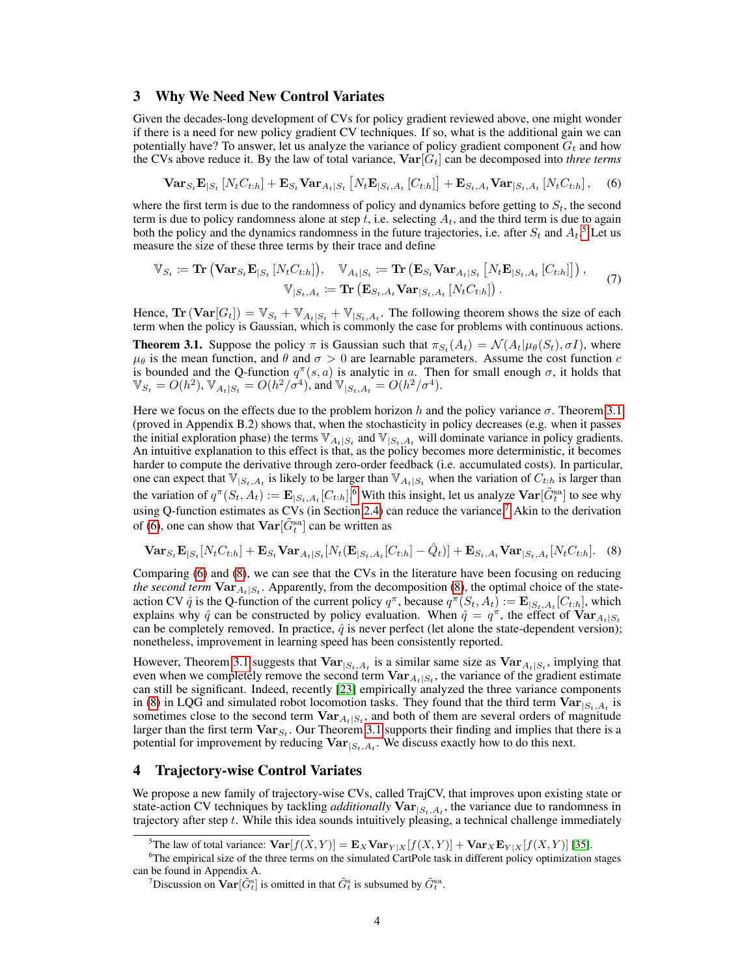## 3 Why We Need New Control Variates

Given the decades-long development of CVs for policy gradient reviewed above, one might wonder if there is a need for new policy gradient CV techniques. If so, what is the additional gain we can potentially have? To answer, let us analyze the variance of policy gradient component  $G_t$  and how the CVs above reduce it. By the law of total variance,  $\text{Var}[G_t]$  can be decomposed into *three terms* 

<span id="page-3-4"></span>
$$
\text{Var}_{S_t} \mathbf{E}_{|S_t} \left[ N_t C_{t:h} \right] + \mathbf{E}_{S_t} \text{Var}_{A_t|S_t} \left[ N_t \mathbf{E}_{|S_t, A_t} \left[ C_{t:h} \right] \right] + \mathbf{E}_{S_t, A_t} \text{Var}_{|S_t, A_t} \left[ N_t C_{t:h} \right], \quad (6)
$$

where the first term is due to the randomness of policy and dynamics before getting to  $S_t$ , the second term is due to policy randomness alone at step t, i.e. selecting  $A_t$ , and the third term is due to again both the policy and the dynamics randomness in the future trajectories, i.e. after  $S_t$  and  $A_t$ .<sup>[5](#page-3-0)</sup> Let us measure the size of these three terms by their trace and define

$$
\mathbb{V}_{S_t} \coloneqq \mathbf{Tr} \left( \mathbf{Var}_{S_t} \mathbf{E}_{|S_t} \left[ N_t C_{t:h} \right] \right), \quad \mathbb{V}_{A_t|S_t} \coloneqq \mathbf{Tr} \left( \mathbf{E}_{S_t} \mathbf{Var}_{A_t|S_t} \left[ N_t \mathbf{E}_{|S_t, A_t} \left[ C_{t:h} \right] \right] \right),
$$
  

$$
\mathbb{V}_{|S_t, A_t} \coloneqq \mathbf{Tr} \left( \mathbf{E}_{S_t, A_t} \mathbf{Var}_{|S_t, A_t} \left[ N_t C_{t:h} \right] \right).
$$
 (7)

Hence,  $\text{Tr}(\text{Var}[G_t]) = \mathbb{V}_{S_t} + \mathbb{V}_{A_t|S_t} + \mathbb{V}_{|S_t,A_t}$ . The following theorem shows the size of each term when the policy is Gaussian, which is commonly the case for problems with continuous actions.

<span id="page-3-1"></span>**Theorem 3.1.** Suppose the policy  $\pi$  is Gaussian such that  $\pi_{S_t}(A_t) = \mathcal{N}(A_t | \mu_\theta(S_t), \sigma I)$ , where  $\mu_{\theta}$  is the mean function, and  $\theta$  and  $\sigma > 0$  are learnable parameters. Assume the cost function c is bounded and the Q-function  $q^{\pi}(s, a)$  is analytic in a. Then for small enough  $\sigma$ , it holds that  $\mathbb{V}_{S_t} = O(h^2), \mathbb{V}_{A_t|S_t} = O(h^2/\sigma^4), \text{ and } \mathbb{V}_{|S_t,A_t} = O(h^2/\sigma^4).$ 

Here we focus on the effects due to the problem horizon h and the policy variance  $\sigma$ . Theorem [3.1](#page-3-1) (proved in Appendix B.2) shows that, when the stochasticity in policy decreases (e.g. when it passes the initial exploration phase) the terms  $\mathbb{V}_{A_t|S_t}$  and  $\mathbb{V}_{|S_t,A_t}$  will dominate variance in policy gradients. An intuitive explanation to this effect is that, as the policy becomes more deterministic, it becomes harder to compute the derivative through zero-order feedback (i.e. accumulated costs). In particular, one can expect that  $\mathbb{V}_{|S_t,A_t|}$  is likely to be larger than  $\mathbb{V}_{A_t|S_t}$  when the variation of  $C_{t:h}$  is larger than the variation of  $q^{\pi}(S_t, A_t) := \mathbf{E}_{|S_t, A_t}[C_{t:h}]$ . <sup>[6](#page-3-2)</sup> With this insight, let us analyze  $\text{Var}[\tilde{G}_t^{\text{sa}}]$  to see why using Q-function estimates as  $CVs$  (in Section [2.4\)](#page-2-3) can reduce the variance.<sup>[7](#page-3-3)</sup> Akin to the derivation of [\(6\)](#page-3-4), one can show that  $\text{Var}[\tilde{G}_{t}^{\text{sa}}]$  can be written as

<span id="page-3-5"></span>
$$
\text{Var}_{S_t} \mathbf{E}_{|S_t}[N_t C_{t:h}] + \mathbf{E}_{S_t} \text{Var}_{A_t|S_t}[N_t(\mathbf{E}_{|S_t, A_t}[C_{t:h}] - \hat{Q}_t)] + \mathbf{E}_{S_t, A_t} \text{Var}_{|S_t, A_t}[N_t C_{t:h}].
$$
 (8)

Comparing [\(6\)](#page-3-4) and [\(8\)](#page-3-5), we can see that the CVs in the literature have been focusing on reducing *the second term*  $\text{Var}_{A_t|S_t}$ . Apparently, from the decomposition [\(8\)](#page-3-5), the optimal choice of the stateaction CV  $\hat{q}$  is the Q-function of the current policy  $q^{\pi}$ , because  $q^{\pi}(S_t, A_t) := \mathbf{E}_{|S_t, A_t}[C_{t:h}]$ , which explains why  $\hat{q}$  can be constructed by policy evaluation. When  $\hat{q} = q^{\pi}$ , the effect of  $\text{Var}_{A_t|S_t}$ can be completely removed. In practice,  $\hat{q}$  is never perfect (let alone the state-dependent version); nonetheless, improvement in learning speed has been consistently reported.

However, Theorem [3.1](#page-3-1) suggests that  $Var_{|S_t, A_t}$  is a similar same size as  $Var_{A_t|S_t}$ , implying that even when we completely remove the second term  $\text{Var}_{A_t|S_t}$ , the variance of the gradient estimate can still be significant. Indeed, recently [\[23\]](#page-7-3) empirically analyzed the three variance components in [\(8\)](#page-3-5) in LQG and simulated robot locomotion tasks. They found that the third term  $\text{Var}_{|S_t, A_t}$  is sometimes close to the second term  $\text{Var}_{A_t|S_t}$ , and both of them are several orders of magnitude larger than the first term  $Var_{S_t}$ . Our Theorem [3.1](#page-3-1) supports their finding and implies that there is a potential for improvement by reducing  $Var_{|S_t, A_t}$ . We discuss exactly how to do this next.

## 4 Trajectory-wise Control Variates

We propose a new family of trajectory-wise CVs, called TrajCV, that improves upon existing state or state-action CV techniques by tackling *additionally*  $Var_{|S_t, A_t}$ , the variance due to randomness in trajectory after step  $t$ . While this idea sounds intuitively pleasing, a technical challenge immediately

<span id="page-3-2"></span><span id="page-3-0"></span><sup>&</sup>lt;sup>5</sup>The law of total variance:  $\text{Var}[f(X, Y)] = \mathbf{E}_X \text{Var}_{Y|X}[f(X, Y)] + \text{Var}_X \mathbf{E}_{Y|X}[f(X, Y)]$  [\[35\]](#page-7-14).

<sup>&</sup>lt;sup>6</sup>The empirical size of the three terms on the simulated CartPole task in different policy optimization stages can be found in Appendix A.

<span id="page-3-3"></span><sup>&</sup>lt;sup>7</sup>Discussion on  $\textbf{Var}[\tilde{G}_t^s]$  is omitted in that  $\tilde{G}_t^s$  is subsumed by  $\tilde{G}_t^{\text{sa}}$ .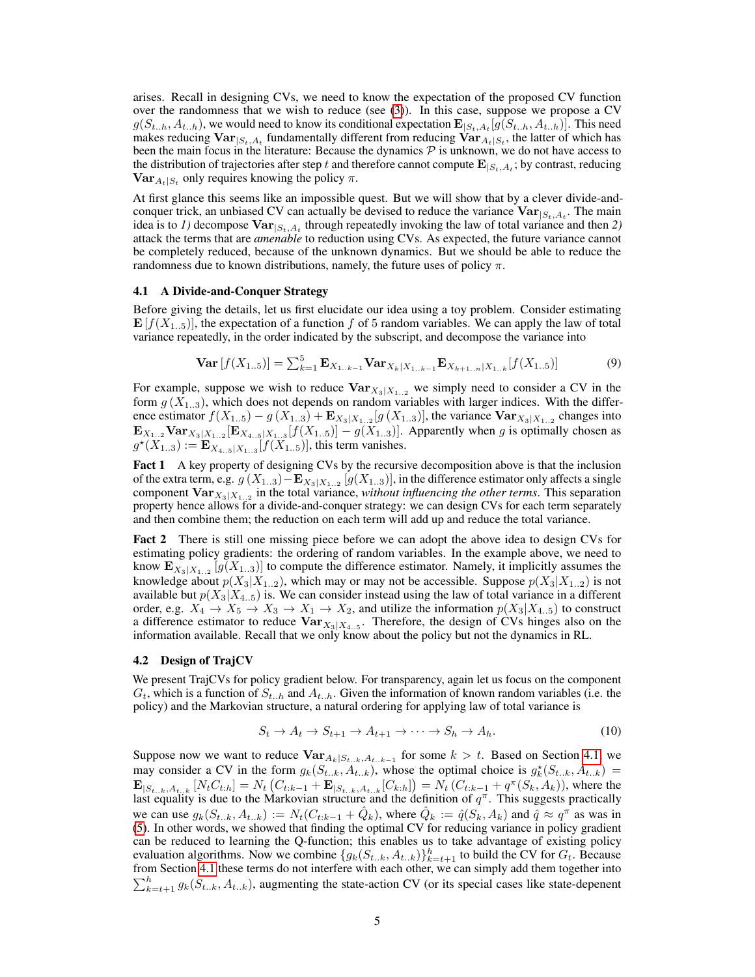arises. Recall in designing CVs, we need to know the expectation of the proposed CV function over the randomness that we wish to reduce (see [\(3\)](#page-2-0)). In this case, suppose we propose a CV  $g(S_{t..h}, A_{t..h})$ , we would need to know its conditional expectation  $\mathbf{E}_{|S_t,A_t}[g(S_{t..h}, A_{t..h})]$ . This need makes reducing  $\textbf{Var}_{|S_t, A_t}$  fundamentally different from reducing  $\textbf{Var}_{A_t|S_t}$ , the latter of which has been the main focus in the literature: Because the dynamics  $\mathcal P$  is unknown, we do not have access to the distribution of trajectories after step t and therefore cannot compute  $\mathbf{E}_{|S_t,A_t}$ ; by contrast, reducing  $\textbf{Var}_{A_t|S_t}$  only requires knowing the policy  $\pi$ .

At first glance this seems like an impossible quest. But we will show that by a clever divide-andconquer trick, an unbiased CV can actually be devised to reduce the variance  $Var_{|S_t, A_t}$ . The main idea is to *1*) decompose  $Var_{|S_t, A_t}$  through repeatedly invoking the law of total variance and then 2) attack the terms that are *amenable* to reduction using CVs. As expected, the future variance cannot be completely reduced, because of the unknown dynamics. But we should be able to reduce the randomness due to known distributions, namely, the future uses of policy  $\pi$ .

#### <span id="page-4-0"></span>4.1 A Divide-and-Conquer Strategy

Before giving the details, let us first elucidate our idea using a toy problem. Consider estimating  $\mathbf{E}[f(X_{1..5})]$ , the expectation of a function f of 5 random variables. We can apply the law of total variance repeatedly, in the order indicated by the subscript, and decompose the variance into

$$
\mathbf{Var}\left[f(X_{1..5})\right] = \sum_{k=1}^{5} \mathbf{E}_{X_{1..k-1}} \mathbf{Var}_{X_k|X_{1..k-1}} \mathbf{E}_{X_{k+1..n}|X_{1..k}}[f(X_{1..5})] \tag{9}
$$

For example, suppose we wish to reduce  $\text{Var}_{X_3|X_{1,2}}$  we simply need to consider a CV in the form  $g(X_{1..3})$ , which does not depends on random variables with larger indices. With the difference estimator  $f(X_{1..5}) - g(X_{1..3}) + \mathbf{E}_{X_3|X_{1..2}}[g(X_{1..3})]$ , the variance  $\mathbf{Var}_{X_3|X_{1..2}}$  changes into  $\mathbf{E}_{X_{1..2}} \mathbf{Var}_{X_3|X_{1..2}}[\mathbf{E}_{X_{4..5}|X_{1..3}}[f(X_{1..5})] - g(X_{1..3})]$ . Apparently when g is optimally chosen as  $g^*(X_{1..3}) := \mathbf{E}_{X_{4..5}|X_{1..3}}[f(X_{1..5})]$ , this term vanishes.

Fact 1 A key property of designing CVs by the recursive decomposition above is that the inclusion of the extra term, e.g.  $g(X_{1..3}) - \mathbf{E}_{X_3|X_{1..2}}[g(X_{1..3})]$ , in the difference estimator only affects a single component  $\text{Var}_{X_3|X_{1..2}}$  in the total variance, *without influencing the other terms*. This separation property hence allows for a divide-and-conquer strategy: we can design CVs for each term separately and then combine them; the reduction on each term will add up and reduce the total variance.

Fact 2 There is still one missing piece before we can adopt the above idea to design CVs for estimating policy gradients: the ordering of random variables. In the example above, we need to know  $\mathbf{E}_{X_3|X_{1..2}}[g(X_{1..3})]$  to compute the difference estimator. Namely, it implicitly assumes the knowledge about  $p(X_3|X_{1..2})$ , which may or may not be accessible. Suppose  $p(X_3|X_{1..2})$  is not available but  $p(X_3|X_{4..5})$  is. We can consider instead using the law of total variance in a different order, e.g.  $X_4 \to X_5 \to X_3 \to X_1 \to X_2$ , and utilize the information  $p(X_3|X_{4..5})$  to construct a difference estimator to reduce  $\text{Var}_{X_3|X_{4..5}}$ . Therefore, the design of CVs hinges also on the information available. Recall that we only know about the policy but not the dynamics in RL.

#### 4.2 Design of TrajCV

We present TrajCVs for policy gradient below. For transparency, again let us focus on the component  $G_t$ , which is a function of  $S_{t_h,h}$  and  $A_{t_h,h}$ . Given the information of known random variables (i.e. the policy) and the Markovian structure, a natural ordering for applying law of total variance is

<span id="page-4-1"></span>
$$
S_t \to A_t \to S_{t+1} \to A_{t+1} \to \cdots \to S_h \to A_h. \tag{10}
$$

Suppose now we want to reduce  $\text{Var}_{A_k|S_{t..k},A_{t..k-1}}$  for some  $k > t$ . Based on Section [4.1,](#page-4-0) we may consider a CV in the form  $g_k(S_{t..k}, A_{t..k})$ , whose the optimal choice is  $g_k^*(S_{t..k}, A_{t..k}) =$  $\mathbf{E}_{|S_{t..k},A_{t..k}}\left[N_tC_{t:h}\right] = N_t\left(C_{t:k-1} + \mathbf{E}_{|S_{t..k},A_{t..k}}[C_{k:h}]\right) = N_t\left(C_{t:k-1} + q^{\pi}(S_k, A_k)\right)$ , where the last equality is due to the Markovian structure and the definition of  $q^{\pi}$ . This suggests practically we can use  $g_k(S_{t_k}, A_{t_k}) := N_t(C_{t:k-1} + \hat{Q}_k)$ , where  $\hat{Q}_k := \hat{q}(S_k, A_k)$  and  $\hat{q} \approx q^{\pi}$  as was in [\(5\)](#page-2-4). In other words, we showed that finding the optimal CV for reducing variance in policy gradient can be reduced to learning the Q-function; this enables us to take advantage of existing policy evaluation algorithms. Now we combine  $\{g_k(S_{t..k}, A_{t..k})\}_{k=t+1}^h$  to build the CV for  $G_t$ . Because from Section [4.1](#page-4-0) these terms do not interfere with each other, we can simply add them together into  $\sum_{k=t+1}^{h} g_k(S_{t..k}, A_{t..k})$ , augmenting the state-action CV (or its special cases like state-depenent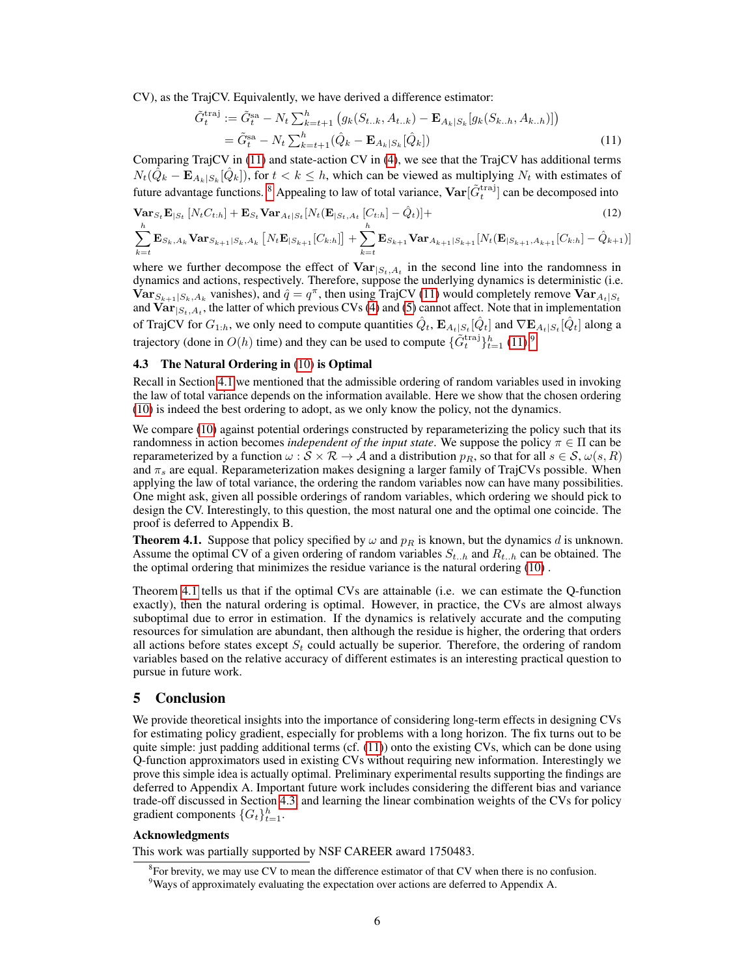CV), as the TrajCV. Equivalently, we have derived a difference estimator:

<span id="page-5-0"></span>
$$
\tilde{G}_t^{\text{traj}} := \tilde{G}_t^{\text{sa}} - N_t \sum_{k=t+1}^h \left( g_k(S_{t..k}, A_{t..k}) - \mathbf{E}_{A_k|S_k} [g_k(S_{k..h}, A_{k..h})] \right)
$$
  
=  $\tilde{G}_t^{\text{sa}} - N_t \sum_{k=t+1}^h (\hat{Q}_k - \mathbf{E}_{A_k|S_k} [\hat{Q}_k])$  (11)

Comparing TrajCV in [\(11\)](#page-5-0) and state-action CV in [\(4\)](#page-2-5), we see that the TrajCV has additional terms  $N_t(\tilde{Q}_k - \mathbf{E}_{A_k|S_k}[\hat{Q}_k])$ , for  $t < k \leq h$ , which can be viewed as multiplying  $N_t$  with estimates of future advantage functions. <sup>[8](#page-5-1)</sup> Appealing to law of total variance,  $\textbf{Var}[\tilde{G}_t^{\text{traj}}]$  can be decomposed into

$$
\mathbf{Var}_{S_t} \mathbf{E}_{|S_t} [N_t C_{t:h}] + \mathbf{E}_{S_t} \mathbf{Var}_{A_t|S_t} [N_t (\mathbf{E}_{|S_t, A_t} [C_{t:h}] - \hat{Q}_t)] +
$$
\n
$$
\sum_{k=t}^{h} \mathbf{E}_{S_k, A_k} \mathbf{Var}_{S_{k+1}|S_k, A_k} [N_t \mathbf{E}_{|S_{k+1}} [C_{k:h}] ] + \sum_{k=t}^{h} \mathbf{E}_{S_{k+1}} \mathbf{Var}_{A_{k+1}|S_{k+1}} [N_t (\mathbf{E}_{|S_{k+1}, A_{k+1}} [C_{k:h}] - \hat{Q}_{k+1})]
$$
\n(12)

where we further decompose the effect of  $Var_{|S_t, A_t}$  in the second line into the randomness in dynamics and actions, respectively. Therefore, suppose the underlying dynamics is deterministic (i.e.  $\text{Var}_{S_{k+1}|S_k,A_k}$  vanishes), and  $\hat{q} = q^{\pi}$ , then using TrajCV [\(11\)](#page-5-0) would completely remove  $\text{Var}_{A_t|S_t}$ and  $\text{Var}_{|S_t, A_t}$ , the latter of which previous CVs [\(4\)](#page-2-5) and [\(5\)](#page-2-4) cannot affect. Note that in implementation of TrajCV for  $G_{1:h}$ , we only need to compute quantities  $\hat{Q}_t$ ,  $\mathbf{E}_{A_t|S_t}[\hat{Q}_t]$  and  $\nabla \mathbf{E}_{A_t|S_t}[\hat{Q}_t]$  along a trajectory (done in  $O(h)$  time) and they can be used to compute  $\{\tilde{G}_t^{\text{traj}}\}_{t=1}^h (11).^9$  $\{\tilde{G}_t^{\text{traj}}\}_{t=1}^h (11).^9$  $\{\tilde{G}_t^{\text{traj}}\}_{t=1}^h (11).^9$  $\{\tilde{G}_t^{\text{traj}}\}_{t=1}^h (11).^9$ 

## <span id="page-5-4"></span>4.3 The Natural Ordering in [\(10\)](#page-4-1) is Optimal

Recall in Section [4.1](#page-4-0) we mentioned that the admissible ordering of random variables used in invoking the law of total variance depends on the information available. Here we show that the chosen ordering [\(10\)](#page-4-1) is indeed the best ordering to adopt, as we only know the policy, not the dynamics.

We compare [\(10\)](#page-4-1) against potential orderings constructed by reparameterizing the policy such that its randomness in action becomes *independent of the input state*. We suppose the policy  $\pi \in \Pi$  can be reparameterized by a function  $\omega : \mathcal{S} \times \mathcal{R} \to \mathcal{A}$  and a distribution  $p_R$ , so that for all  $s \in \mathcal{S}, \omega(s, R)$ and  $\pi_s$  are equal. Reparameterization makes designing a larger family of TrajCVs possible. When applying the law of total variance, the ordering the random variables now can have many possibilities. One might ask, given all possible orderings of random variables, which ordering we should pick to design the CV. Interestingly, to this question, the most natural one and the optimal one coincide. The proof is deferred to Appendix B.

<span id="page-5-3"></span>**Theorem 4.1.** Suppose that policy specified by  $\omega$  and  $p_R$  is known, but the dynamics d is unknown. Assume the optimal CV of a given ordering of random variables  $S_{t..h}$  and  $R_{t..h}$  can be obtained. The the optimal ordering that minimizes the residue variance is the natural ordering [\(10\)](#page-4-1) .

Theorem [4.1](#page-5-3) tells us that if the optimal CVs are attainable (i.e. we can estimate the Q-function exactly), then the natural ordering is optimal. However, in practice, the CVs are almost always suboptimal due to error in estimation. If the dynamics is relatively accurate and the computing resources for simulation are abundant, then although the residue is higher, the ordering that orders all actions before states except  $S_t$  could actually be superior. Therefore, the ordering of random variables based on the relative accuracy of different estimates is an interesting practical question to pursue in future work.

## 5 Conclusion

We provide theoretical insights into the importance of considering long-term effects in designing CVs for estimating policy gradient, especially for problems with a long horizon. The fix turns out to be quite simple: just padding additional terms (cf. [\(11\)](#page-5-0)) onto the existing CVs, which can be done using Q-function approximators used in existing CVs without requiring new information. Interestingly we prove this simple idea is actually optimal. Preliminary experimental results supporting the findings are deferred to Appendix A. Important future work includes considering the different bias and variance trade-off discussed in Section [4.3,](#page-5-4) and learning the linear combination weights of the CVs for policy gradient components  $\{G_t\}_{t=1}^h$ .

#### Acknowledgments

This work was partially supported by NSF CAREER award 1750483.

<span id="page-5-1"></span> ${}^{8}$ For brevity, we may use CV to mean the difference estimator of that CV when there is no confusion.

<span id="page-5-2"></span><sup>&</sup>lt;sup>9</sup>Ways of approximately evaluating the expectation over actions are deferred to Appendix A.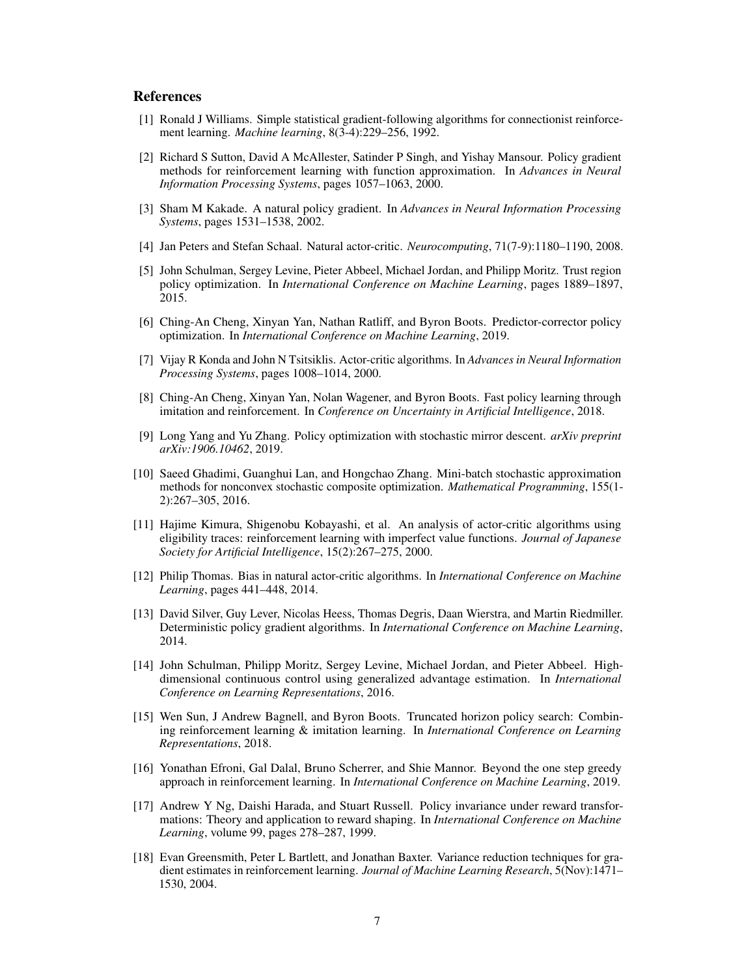# **References**

- <span id="page-6-0"></span>[1] Ronald J Williams. Simple statistical gradient-following algorithms for connectionist reinforcement learning. *Machine learning*, 8(3-4):229–256, 1992.
- <span id="page-6-2"></span>[2] Richard S Sutton, David A McAllester, Satinder P Singh, and Yishay Mansour. Policy gradient methods for reinforcement learning with function approximation. In *Advances in Neural Information Processing Systems*, pages 1057–1063, 2000.
- [3] Sham M Kakade. A natural policy gradient. In *Advances in Neural Information Processing Systems*, pages 1531–1538, 2002.
- <span id="page-6-12"></span>[4] Jan Peters and Stefan Schaal. Natural actor-critic. *Neurocomputing*, 71(7-9):1180–1190, 2008.
- <span id="page-6-14"></span>[5] John Schulman, Sergey Levine, Pieter Abbeel, Michael Jordan, and Philipp Moritz. Trust region policy optimization. In *International Conference on Machine Learning*, pages 1889–1897, 2015.
- <span id="page-6-1"></span>[6] Ching-An Cheng, Xinyan Yan, Nathan Ratliff, and Byron Boots. Predictor-corrector policy optimization. In *International Conference on Machine Learning*, 2019.
- <span id="page-6-3"></span>[7] Vijay R Konda and John N Tsitsiklis. Actor-critic algorithms. In *Advances in Neural Information Processing Systems*, pages 1008–1014, 2000.
- [8] Ching-An Cheng, Xinyan Yan, Nolan Wagener, and Byron Boots. Fast policy learning through imitation and reinforcement. In *Conference on Uncertainty in Artificial Intelligence*, 2018.
- <span id="page-6-4"></span>[9] Long Yang and Yu Zhang. Policy optimization with stochastic mirror descent. *arXiv preprint arXiv:1906.10462*, 2019.
- <span id="page-6-5"></span>[10] Saeed Ghadimi, Guanghui Lan, and Hongchao Zhang. Mini-batch stochastic approximation methods for nonconvex stochastic composite optimization. *Mathematical Programming*, 155(1- 2):267–305, 2016.
- <span id="page-6-6"></span>[11] Hajime Kimura, Shigenobu Kobayashi, et al. An analysis of actor-critic algorithms using eligibility traces: reinforcement learning with imperfect value functions. *Journal of Japanese Society for Artificial Intelligence*, 15(2):267–275, 2000.
- [12] Philip Thomas. Bias in natural actor-critic algorithms. In *International Conference on Machine Learning*, pages 441–448, 2014.
- <span id="page-6-13"></span>[13] David Silver, Guy Lever, Nicolas Heess, Thomas Degris, Daan Wierstra, and Martin Riedmiller. Deterministic policy gradient algorithms. In *International Conference on Machine Learning*, 2014.
- <span id="page-6-8"></span>[14] John Schulman, Philipp Moritz, Sergey Levine, Michael Jordan, and Pieter Abbeel. Highdimensional continuous control using generalized advantage estimation. In *International Conference on Learning Representations*, 2016.
- <span id="page-6-7"></span>[15] Wen Sun, J Andrew Bagnell, and Byron Boots. Truncated horizon policy search: Combining reinforcement learning & imitation learning. In *International Conference on Learning Representations*, 2018.
- <span id="page-6-9"></span>[16] Yonathan Efroni, Gal Dalal, Bruno Scherrer, and Shie Mannor. Beyond the one step greedy approach in reinforcement learning. In *International Conference on Machine Learning*, 2019.
- <span id="page-6-10"></span>[17] Andrew Y Ng, Daishi Harada, and Stuart Russell. Policy invariance under reward transformations: Theory and application to reward shaping. In *International Conference on Machine Learning*, volume 99, pages 278–287, 1999.
- <span id="page-6-11"></span>[18] Evan Greensmith, Peter L Bartlett, and Jonathan Baxter. Variance reduction techniques for gradient estimates in reinforcement learning. *Journal of Machine Learning Research*, 5(Nov):1471– 1530, 2004.